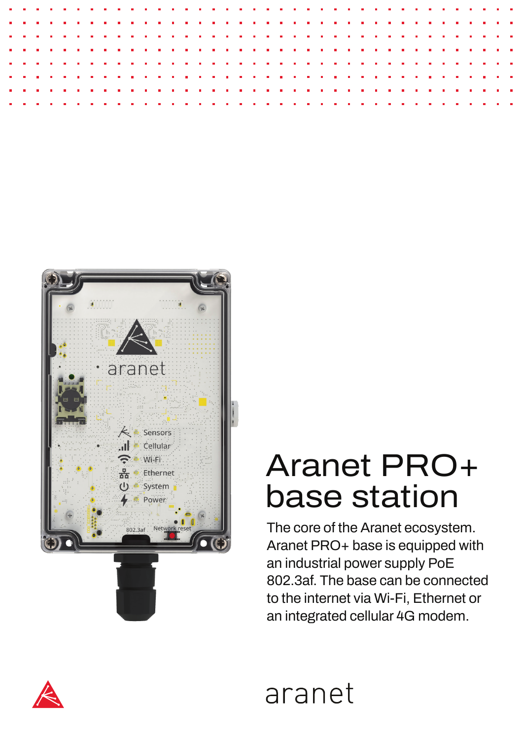

## Aranet PRO+ base station

The core of the Aranet ecosystem. Aranet PRO+ base is equipped with an industrial power supply PoE 802.3af. The base can be connected to the internet via Wi-Fi, Ethernet or an integrated cellular 4G modem.